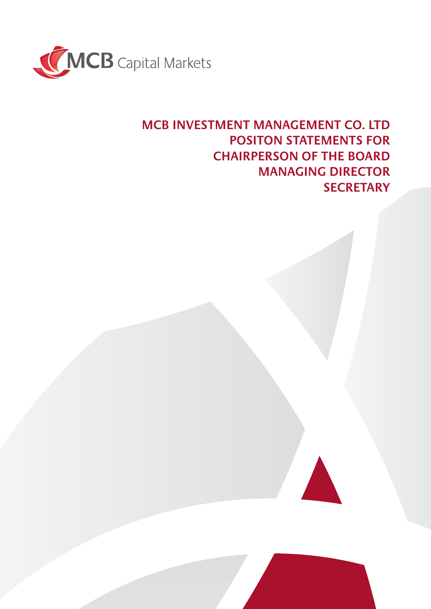

# **MCB INVESTMENT MANAGEMENT CO. LTD POSITON STATEMENTS FOR CHAIRPERSON OF THE BOARD MANAGING DIRECTOR SECRETARY**

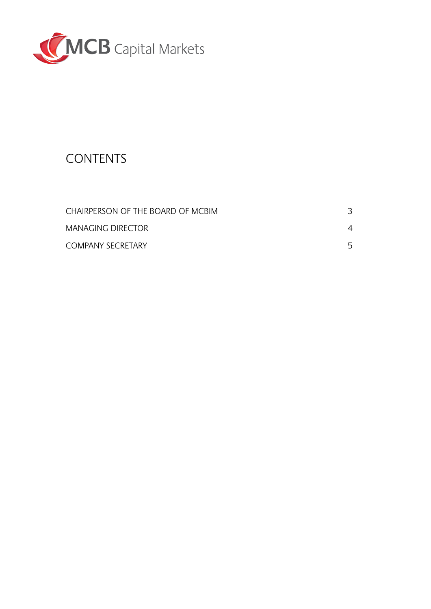

# **CONTENTS**

| CHAIRPERSON OF THE BOARD OF MCBIM |    |
|-----------------------------------|----|
| MANAGING DIRECTOR                 | 4  |
| <b>COMPANY SECRETARY</b>          | 5. |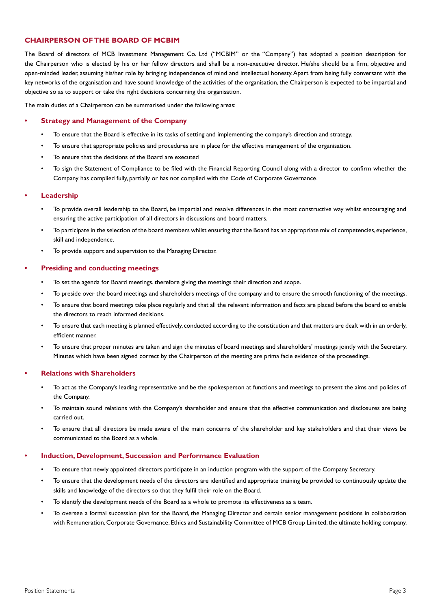# **CHAIRPERSON OF THE BOARD OF MCBIM**

The Board of directors of MCB Investment Management Co. Ltd ("MCBIM" or the "Company") has adopted a position description for the Chairperson who is elected by his or her fellow directors and shall be a non-executive director. He/she should be a firm, objective and open-minded leader, assuming his/her role by bringing independence of mind and intellectual honesty. Apart from being fully conversant with the key networks of the organisation and have sound knowledge of the activities of the organisation, the Chairperson is expected to be impartial and objective so as to support or take the right decisions concerning the organisation.

The main duties of a Chairperson can be summarised under the following areas:

#### **• Strategy and Management of the Company**

- To ensure that the Board is effective in its tasks of setting and implementing the company's direction and strategy.
- To ensure that appropriate policies and procedures are in place for the effective management of the organisation.
- To ensure that the decisions of the Board are executed
- To sign the Statement of Compliance to be filed with the Financial Reporting Council along with a director to confirm whether the Company has complied fully, partially or has not complied with the Code of Corporate Governance.

#### **• Leadership**

- To provide overall leadership to the Board, be impartial and resolve differences in the most constructive way whilst encouraging and ensuring the active participation of all directors in discussions and board matters.
- To participate in the selection of the board members whilst ensuring that the Board has an appropriate mix of competencies, experience, skill and independence.
- To provide support and supervision to the Managing Director.

#### **• Presiding and conducting meetings**

- To set the agenda for Board meetings, therefore giving the meetings their direction and scope.
- To preside over the board meetings and shareholders meetings of the company and to ensure the smooth functioning of the meetings.
- To ensure that board meetings take place regularly and that all the relevant information and facts are placed before the board to enable the directors to reach informed decisions.
- To ensure that each meeting is planned effectively, conducted according to the constitution and that matters are dealt with in an orderly, efficient manner.
- To ensure that proper minutes are taken and sign the minutes of board meetings and shareholders' meetings jointly with the Secretary. Minutes which have been signed correct by the Chairperson of the meeting are prima facie evidence of the proceedings.

#### **• Relations with Shareholders**

- To act as the Company's leading representative and be the spokesperson at functions and meetings to present the aims and policies of the Company.
- To maintain sound relations with the Company's shareholder and ensure that the effective communication and disclosures are being carried out.
- To ensure that all directors be made aware of the main concerns of the shareholder and key stakeholders and that their views be communicated to the Board as a whole.

#### **• Induction, Development, Succession and Performance Evaluation**

- To ensure that newly appointed directors participate in an induction program with the support of the Company Secretary.
- To ensure that the development needs of the directors are identified and appropriate training be provided to continuously update the skills and knowledge of the directors so that they fulfil their role on the Board.
- To identify the development needs of the Board as a whole to promote its effectiveness as a team.
- To oversee a formal succession plan for the Board, the Managing Director and certain senior management positions in collaboration with Remuneration, Corporate Governance, Ethics and Sustainability Committee of MCB Group Limited, the ultimate holding company.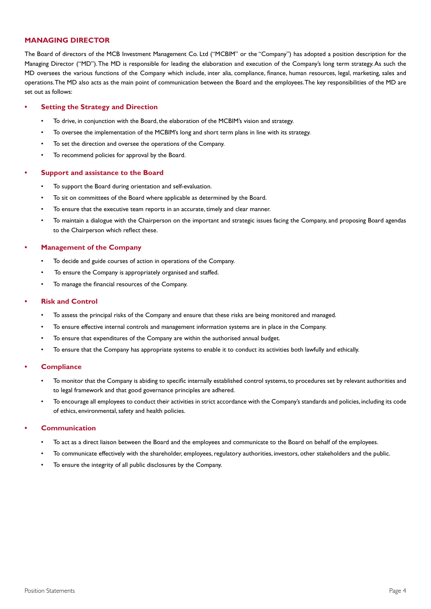# **MANAGING DIRECTOR**

The Board of directors of the MCB Investment Management Co. Ltd ("MCBIM" or the "Company") has adopted a position description for the Managing Director ("MD"). The MD is responsible for leading the elaboration and execution of the Company's long term strategy. As such the MD oversees the various functions of the Company which include, inter alia, compliance, finance, human resources, legal, marketing, sales and operations. The MD also acts as the main point of communication between the Board and the employees. The key responsibilities of the MD are set out as follows:

#### **• Setting the Strategy and Direction**

- To drive, in conjunction with the Board, the elaboration of the MCBIM's vision and strategy.
- To oversee the implementation of the MCBIM's long and short term plans in line with its strategy.
- To set the direction and oversee the operations of the Company.
- To recommend policies for approval by the Board.

#### **• Support and assistance to the Board**

- To support the Board during orientation and self-evaluation.
- To sit on committees of the Board where applicable as determined by the Board.
- To ensure that the executive team reports in an accurate, timely and clear manner.
- To maintain a dialogue with the Chairperson on the important and strategic issues facing the Company, and proposing Board agendas to the Chairperson which reflect these.

#### **• Management of the Company**

- To decide and guide courses of action in operations of the Company.
- To ensure the Company is appropriately organised and staffed.
- To manage the financial resources of the Company.

#### **• Risk and Control**

- To assess the principal risks of the Company and ensure that these risks are being monitored and managed.
- To ensure effective internal controls and management information systems are in place in the Company.
- To ensure that expenditures of the Company are within the authorised annual budget.
- To ensure that the Company has appropriate systems to enable it to conduct its activities both lawfully and ethically.

#### **• Compliance**

- To monitor that the Company is abiding to specific internally established control systems, to procedures set by relevant authorities and to legal framework and that good governance principles are adhered.
- To encourage all employees to conduct their activities in strict accordance with the Company's standards and policies, including its code of ethics, environmental, safety and health policies.

#### **• Communication**

- To act as a direct liaison between the Board and the employees and communicate to the Board on behalf of the employees.
- To communicate effectively with the shareholder, employees, regulatory authorities, investors, other stakeholders and the public.
- To ensure the integrity of all public disclosures by the Company.